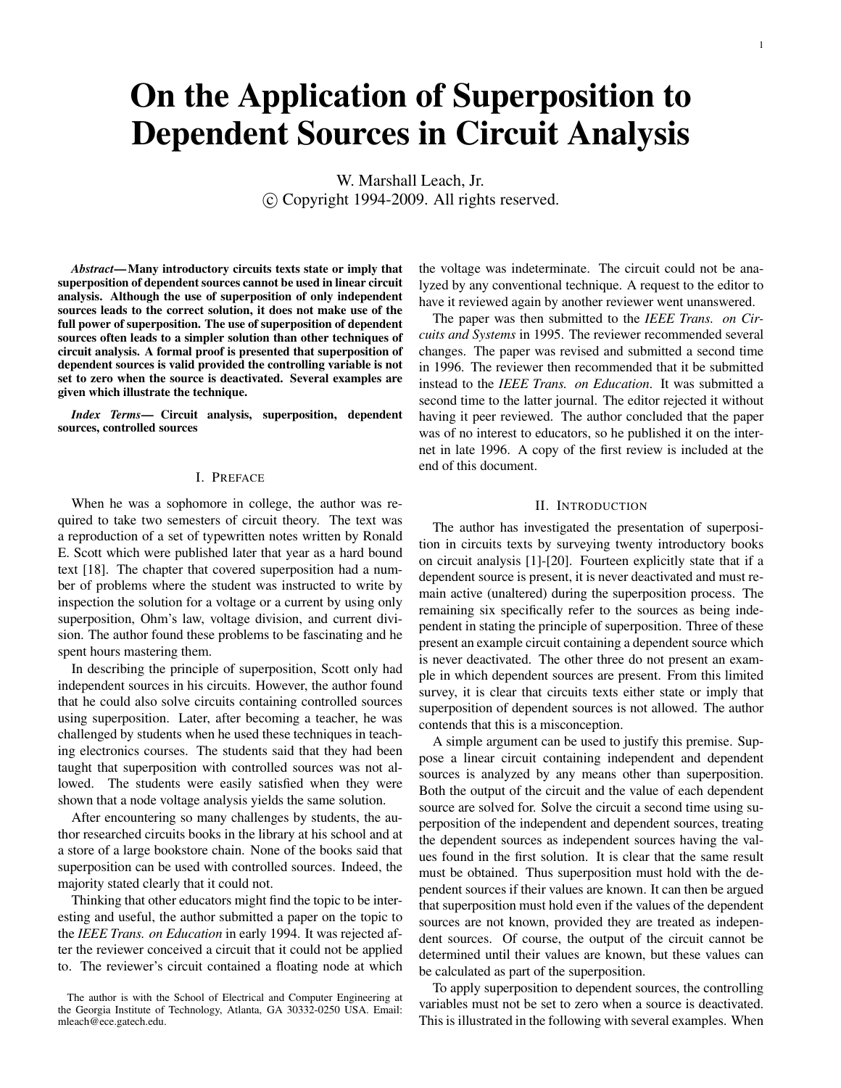# **On the Application of Superposition to Dependent Sources in Circuit Analysis**

W. Marshall Leach, Jr. c Copyright 1994-2009. All rights reserved.

*Abstract***—Many introductory circuits texts state or imply that superposition of dependent sources cannot be used in linear circuit analysis. Although the use of superposition of only independent sources leads to the correct solution, it does not make use of the full power of superposition. The use of superposition of dependent sources often leads to a simpler solution than other techniques of circuit analysis. A formal proof is presented that superposition of dependent sources is valid provided the controlling variable is not set to zero when the source is deactivated. Several examples are given which illustrate the technique.**

*Index Terms***— Circuit analysis, superposition, dependent sources, controlled sources**

#### I. PREFACE

When he was a sophomore in college, the author was required to take two semesters of circuit theory. The text was a reproduction of a set of typewritten notes written by Ronald E. Scott which were published later that year as a hard bound text [18]. The chapter that covered superposition had a number of problems where the student was instructed to write by inspection the solution for a voltage or a current by using only superposition, Ohm's law, voltage division, and current division. The author found these problems to be fascinating and he spent hours mastering them.

In describing the principle of superposition, Scott only had independent sources in his circuits. However, the author found that he could also solve circuits containing controlled sources using superposition. Later, after becoming a teacher, he was challenged by students when he used these techniques in teaching electronics courses. The students said that they had been taught that superposition with controlled sources was not allowed. The students were easily satisfied when they were shown that a node voltage analysis yields the same solution.

After encountering so many challenges by students, the author researched circuits books in the library at his school and at a store of a large bookstore chain. None of the books said that superposition can be used with controlled sources. Indeed, the majority stated clearly that it could not.

Thinking that other educators might find the topic to be interesting and useful, the author submitted a paper on the topic to the *IEEE Trans. on Education* in early 1994. It was rejected after the reviewer conceived a circuit that it could not be applied to. The reviewer's circuit contained a floating node at which

the voltage was indeterminate. The circuit could not be analyzed by any conventional technique. A request to the editor to have it reviewed again by another reviewer went unanswered.

The paper was then submitted to the *IEEE Trans. on Circuits and Systems* in 1995. The reviewer recommended several changes. The paper was revised and submitted a second time in 1996. The reviewer then recommended that it be submitted instead to the *IEEE Trans. on Education*. It was submitted a second time to the latter journal. The editor rejected it without having it peer reviewed. The author concluded that the paper was of no interest to educators, so he published it on the internet in late 1996. A copy of the first review is included at the end of this document.

#### II. INTRODUCTION

The author has investigated the presentation of superposition in circuits texts by surveying twenty introductory books on circuit analysis [1]-[20]. Fourteen explicitly state that if a dependent source is present, it is never deactivated and must remain active (unaltered) during the superposition process. The remaining six specifically refer to the sources as being independent in stating the principle of superposition. Three of these present an example circuit containing a dependent source which is never deactivated. The other three do not present an example in which dependent sources are present. From this limited survey, it is clear that circuits texts either state or imply that superposition of dependent sources is not allowed. The author contends that this is a misconception.

A simple argument can be used to justify this premise. Suppose a linear circuit containing independent and dependent sources is analyzed by any means other than superposition. Both the output of the circuit and the value of each dependent source are solved for. Solve the circuit a second time using superposition of the independent and dependent sources, treating the dependent sources as independent sources having the values found in the first solution. It is clear that the same result must be obtained. Thus superposition must hold with the dependent sources if their values are known. It can then be argued that superposition must hold even if the values of the dependent sources are not known, provided they are treated as independent sources. Of course, the output of the circuit cannot be determined until their values are known, but these values can be calculated as part of the superposition.

To apply superposition to dependent sources, the controlling variables must not be set to zero when a source is deactivated. This is illustrated in the following with several examples. When

The author is with the School of Electrical and Computer Engineering at the Georgia Institute of Technology, Atlanta, GA 30332-0250 USA. Email: mleach@ece.gatech.edu.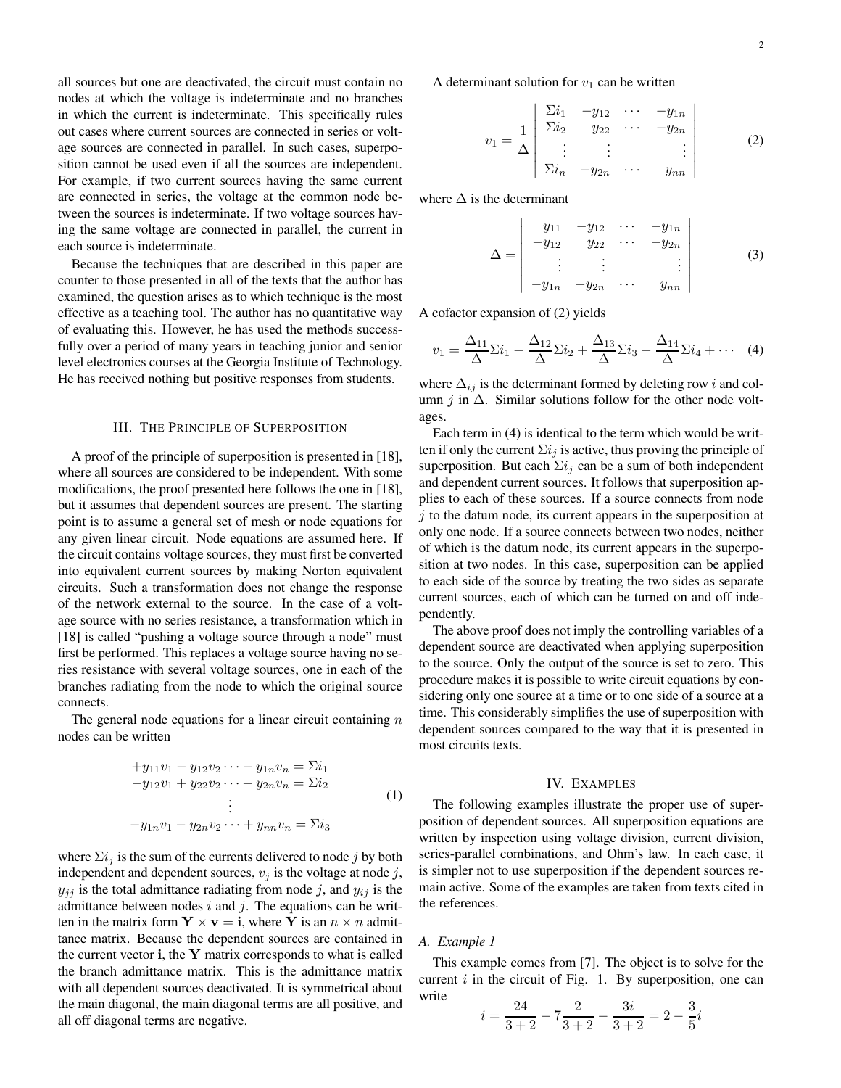all sources but one are deactivated, the circuit must contain no nodes at which the voltage is indeterminate and no branches in which the current is indeterminate. This specifically rules out cases where current sources are connected in series or voltage sources are connected in parallel. In such cases, superposition cannot be used even if all the sources are independent. For example, if two current sources having the same current are connected in series, the voltage at the common node between the sources is indeterminate. If two voltage sources having the same voltage are connected in parallel, the current in each source is indeterminate.

Because the techniques that are described in this paper are counter to those presented in all of the texts that the author has examined, the question arises as to which technique is the most effective as a teaching tool. The author has no quantitative way of evaluating this. However, he has used the methods successfully over a period of many years in teaching junior and senior level electronics courses at the Georgia Institute of Technology. He has received nothing but positive responses from students.

#### III. THE PRINCIPLE OF SUPERPOSITION

A proof of the principle of superposition is presented in [18], where all sources are considered to be independent. With some modifications, the proof presented here follows the one in [18], but it assumes that dependent sources are present. The starting point is to assume a general set of mesh or node equations for any given linear circuit. Node equations are assumed here. If the circuit contains voltage sources, they must first be converted into equivalent current sources by making Norton equivalent circuits. Such a transformation does not change the response of the network external to the source. In the case of a voltage source with no series resistance, a transformation which in [18] is called "pushing a voltage source through a node" must first be performed. This replaces a voltage source having no series resistance with several voltage sources, one in each of the branches radiating from the node to which the original source connects.

The general node equations for a linear circuit containing  $n$ nodes can be written

$$
+y_{11}v_1 - y_{12}v_2 \cdots - y_{1n}v_n = \Sigma i_1 -y_{12}v_1 + y_{22}v_2 \cdots - y_{2n}v_n = \Sigma i_2 \vdots -y_{1n}v_1 - y_{2n}v_2 \cdots + y_{nn}v_n = \Sigma i_3
$$
\n(1)

where  $\sum i_j$  is the sum of the currents delivered to node j by both independent and dependent sources,  $v_j$  is the voltage at node j,  $y_{jj}$  is the total admittance radiating from node j, and  $y_{ij}$  is the admittance between nodes  $i$  and  $j$ . The equations can be written in the matrix form  $Y \times v = i$ , where Y is an  $n \times n$  admittance matrix. Because the dependent sources are contained in the current vector  $\mathbf{i}$ , the Y matrix corresponds to what is called the branch admittance matrix. This is the admittance matrix with all dependent sources deactivated. It is symmetrical about the main diagonal, the main diagonal terms are all positive, and all off diagonal terms are negative.

$$
v_1 = \frac{1}{\Delta} \begin{vmatrix} \Sigma i_1 & -y_{12} & \cdots & -y_{1n} \\ \Sigma i_2 & y_{22} & \cdots & -y_{2n} \\ \vdots & \vdots & & \vdots \\ \Sigma i_n & -y_{2n} & \cdots & y_{nn} \end{vmatrix}
$$
 (2)

where  $\Delta$  is the determinant

$$
\Delta = \begin{vmatrix} y_{11} & -y_{12} & \cdots & -y_{1n} \\ -y_{12} & y_{22} & \cdots & -y_{2n} \\ \vdots & \vdots & & \vdots \\ -y_{1n} & -y_{2n} & \cdots & y_{nn} \end{vmatrix}
$$
 (3)

A cofactor expansion of (2) yields

$$
v_1 = \frac{\Delta_{11}}{\Delta} \Sigma i_1 - \frac{\Delta_{12}}{\Delta} \Sigma i_2 + \frac{\Delta_{13}}{\Delta} \Sigma i_3 - \frac{\Delta_{14}}{\Delta} \Sigma i_4 + \cdots
$$
 (4)

where  $\Delta_{ij}$  is the determinant formed by deleting row i and column j in  $\Delta$ . Similar solutions follow for the other node voltages.

Each term in (4) is identical to the term which would be written if only the current  $\Sigma i_j$  is active, thus proving the principle of superposition. But each  $\Sigma i_j$  can be a sum of both independent and dependent current sources. It follows that superposition applies to each of these sources. If a source connects from node  $j$  to the datum node, its current appears in the superposition at only one node. If a source connects between two nodes, neither of which is the datum node, its current appears in the superposition at two nodes. In this case, superposition can be applied to each side of the source by treating the two sides as separate current sources, each of which can be turned on and off independently.

The above proof does not imply the controlling variables of a dependent source are deactivated when applying superposition to the source. Only the output of the source is set to zero. This procedure makes it is possible to write circuit equations by considering only one source at a time or to one side of a source at a time. This considerably simplifies the use of superposition with dependent sources compared to the way that it is presented in most circuits texts.

#### IV. EXAMPLES

The following examples illustrate the proper use of superposition of dependent sources. All superposition equations are written by inspection using voltage division, current division, series-parallel combinations, and Ohm's law. In each case, it is simpler not to use superposition if the dependent sources remain active. Some of the examples are taken from texts cited in the references.

#### *A. Example 1*

This example comes from [7]. The object is to solve for the current  $i$  in the circuit of Fig. 1. By superposition, one can write

$$
i = \frac{24}{3+2} - 7\frac{2}{3+2} - \frac{3i}{3+2} = 2 - \frac{3}{5}i
$$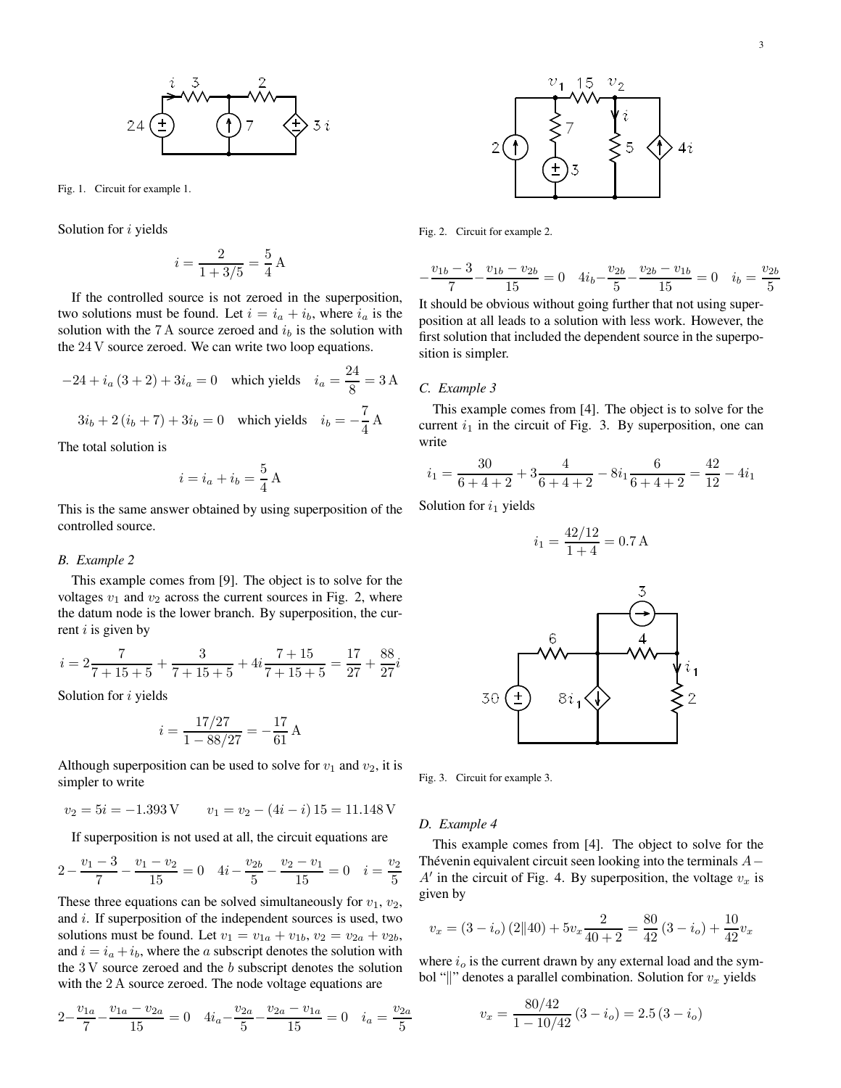

Fig. 1. Circuit for example 1.

Solution for *i* yields

$$
i = \frac{2}{1 + 3/5} = \frac{5}{4} \,\mathrm{A}
$$

If the controlled source is not zeroed in the superposition, two solutions must be found. Let  $i = i_a + i_b$ , where  $i_a$  is the solution with the 7 A source zeroed and  $i<sub>b</sub>$  is the solution with the 24 V source zeroed. We can write two loop equations.

$$
-24 + i_a (3 + 2) + 3i_a = 0 \text{ which yields } i_a = \frac{24}{8} = 3 \text{ A}
$$

$$
3i_b + 2(i_b + 7) + 3i_b = 0 \text{ which yields } i_b = -\frac{7}{4} \text{ A}
$$

The total solution is

$$
i = i_a + i_b = \frac{5}{4} A
$$

This is the same answer obtained by using superposition of the controlled source.

#### *B. Example 2*

This example comes from [9]. The object is to solve for the voltages  $v_1$  and  $v_2$  across the current sources in Fig. 2, where the datum node is the lower branch. By superposition, the current  $i$  is given by

$$
i = 2\frac{7}{7+15+5} + \frac{3}{7+15+5} + 4i\frac{7+15}{7+15+5} = \frac{17}{27} + \frac{88}{27}i
$$

Solution for *i* yields

$$
i = \frac{17/27}{1 - 88/27} = -\frac{17}{61} \,\mathrm{A}
$$

Although superposition can be used to solve for  $v_1$  and  $v_2$ , it is simpler to write

$$
v_2 = 5i = -1.393
$$
V  $v_1 = v_2 - (4i - i) 15 = 11.148$ V

If superposition is not used at all, the circuit equations are

$$
2 - \frac{v_1 - 3}{7} - \frac{v_1 - v_2}{15} = 0 \quad 4i - \frac{v_{2b}}{5} - \frac{v_2 - v_1}{15} = 0 \quad i = \frac{v_2}{5}
$$

These three equations can be solved simultaneously for  $v_1$ ,  $v_2$ , and  $i$ . If superposition of the independent sources is used, two solutions must be found. Let  $v_1 = v_{1a} + v_{1b}$ ,  $v_2 = v_{2a} + v_{2b}$ , and  $i = i_a + i_b$ , where the *a* subscript denotes the solution with the  $3V$  source zeroed and the  $b$  subscript denotes the solution with the 2 A source zeroed. The node voltage equations are

$$
2 - \frac{v_{1a}}{7} - \frac{v_{1a} - v_{2a}}{15} = 0 \quad 4i_a - \frac{v_{2a}}{5} - \frac{v_{2a} - v_{1a}}{15} = 0 \quad i_a = \frac{v_{2a}}{5}
$$



Fig. 2. Circuit for example 2.

$$
-\frac{v_{1b}-3}{7} - \frac{v_{1b}-v_{2b}}{15} = 0 \quad 4i_b - \frac{v_{2b}}{5} - \frac{v_{2b}-v_{1b}}{15} = 0 \quad i_b = \frac{v_{2b}}{5}
$$

It should be obvious without going further that not using superposition at all leads to a solution with less work. However, the first solution that included the dependent source in the superposition is simpler.

#### *C. Example 3*

This example comes from [4]. The object is to solve for the current  $i_1$  in the circuit of Fig. 3. By superposition, one can write

$$
i_1 = \frac{30}{6+4+2} + 3\frac{4}{6+4+2} - 8i_1\frac{6}{6+4+2} = \frac{42}{12} - 4i_1
$$

Solution for  $i_1$  yields

$$
i_1 = \frac{42/12}{1+4} = 0.7 \,\mathrm{A}
$$



Fig. 3. Circuit for example 3.

#### *D. Example 4*

This example comes from [4]. The object to solve for the Thévenin equivalent circuit seen looking into the terminals A−  $A'$  in the circuit of Fig. 4. By superposition, the voltage  $v_x$  is given by

$$
v_x = (3 - i_o) (2||40) + 5v_x \frac{2}{40 + 2} = \frac{80}{42} (3 - i_o) + \frac{10}{42} v_x
$$

where  $i<sub>o</sub>$  is the current drawn by any external load and the symbol "||" denotes a parallel combination. Solution for  $v_x$  yields

$$
v_x = \frac{80/42}{1 - 10/42} (3 - i_o) = 2.5 (3 - i_o)
$$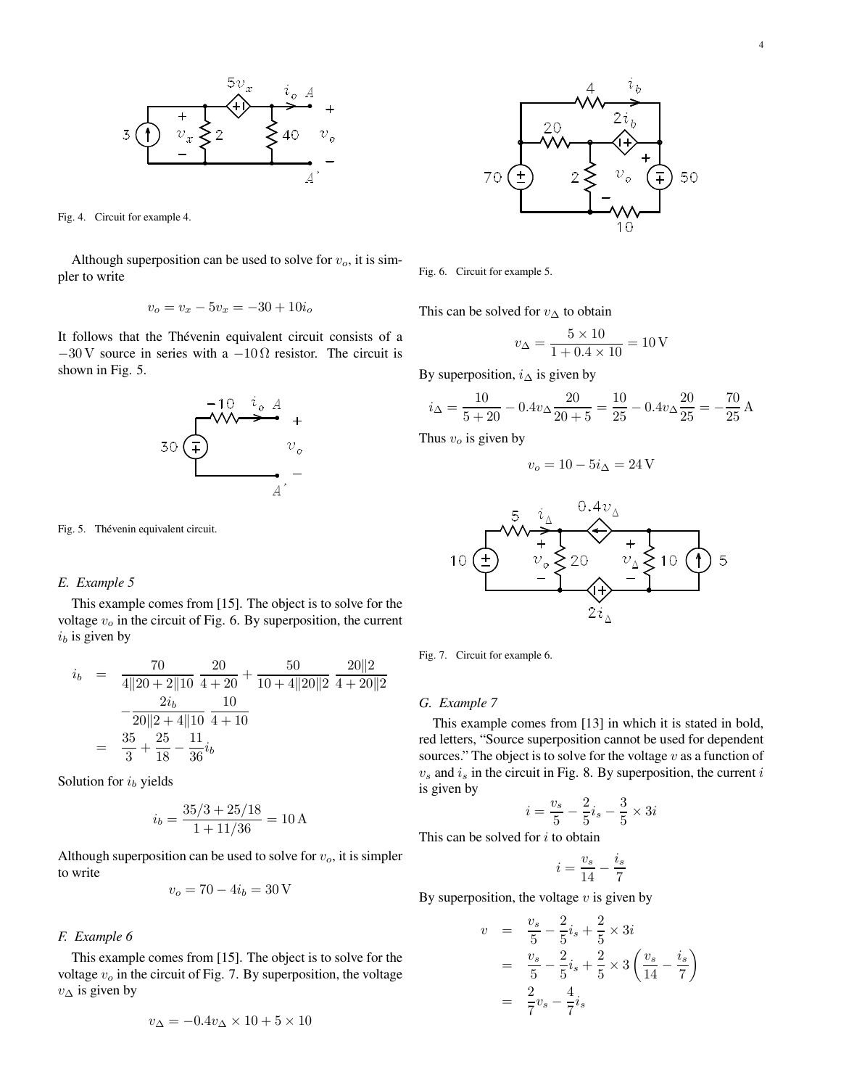

Fig. 4. Circuit for example 4.

Although superposition can be used to solve for  $v<sub>o</sub>$ , it is simpler to write

$$
v_o = v_x - 5v_x = -30 + 10i_o
$$

It follows that the Thévenin equivalent circuit consists of a  $-30$  V source in series with a  $-10\Omega$  resistor. The circuit is shown in Fig. 5.



Fig. 5. Thévenin equivalent circuit.

#### *E. Example 5*

This example comes from [15]. The object is to solve for the voltage  $v<sub>o</sub>$  in the circuit of Fig. 6. By superposition, the current  $i<sub>b</sub>$  is given by

$$
i_b = \frac{70}{4||20+2||10} \frac{20}{4+20} + \frac{50}{10+4||20||2} \frac{20||2}{4+20||2} \n- \frac{2i_b}{20||2+4||10} \frac{10}{4+10} \n= \frac{35}{3} + \frac{25}{18} - \frac{11}{36}i_b
$$

Solution for  $i<sub>b</sub>$  yields

$$
i_b = \frac{35/3 + 25/18}{1 + 11/36} = 10 \,\mathrm{A}
$$

Although superposition can be used to solve for  $v<sub>o</sub>$ , it is simpler to write

$$
v_o = 70 - 4i_b = 30 \,\mathrm{V}
$$

## *F. Example 6*

This example comes from [15]. The object is to solve for the voltage  $v<sub>o</sub>$  in the circuit of Fig. 7. By superposition, the voltage  $v_{\Delta}$  is given by

$$
v_{\Delta} = -0.4v_{\Delta} \times 10 + 5 \times 10
$$



Fig. 6. Circuit for example 5.

This can be solved for  $v_{\Delta}$  to obtain

$$
v_{\Delta} = \frac{5 \times 10}{1 + 0.4 \times 10} = 10 \,\mathrm{V}
$$

By superposition,  $i_{\Delta}$  is given by

$$
i_{\Delta} = \frac{10}{5+20} - 0.4v_{\Delta}\frac{20}{20+5} = \frac{10}{25} - 0.4v_{\Delta}\frac{20}{25} = -\frac{70}{25} A
$$

Thus  $v<sub>o</sub>$  is given by

$$
v_o = 10 - 5i_\Delta = 24\,\mathrm{V}
$$



Fig. 7. Circuit for example 6.

## *G. Example 7*

This example comes from [13] in which it is stated in bold, red letters, "Source superposition cannot be used for dependent sources." The object is to solve for the voltage  $v$  as a function of  $v<sub>s</sub>$  and  $i<sub>s</sub>$  in the circuit in Fig. 8. By superposition, the current i is given by

$$
i = \frac{v_s}{5} - \frac{2}{5}i_s - \frac{3}{5} \times 3i
$$

This can be solved for  $i$  to obtain

$$
i = \frac{v_s}{14} - \frac{i_s}{7}
$$

By superposition, the voltage  $v$  is given by

$$
v = \frac{v_s}{5} - \frac{2}{5}i_s + \frac{2}{5} \times 3i
$$
  
=  $\frac{v_s}{5} - \frac{2}{5}i_s + \frac{2}{5} \times 3\left(\frac{v_s}{14} - \frac{i_s}{7}\right)$   
=  $\frac{2}{7}v_s - \frac{4}{7}i_s$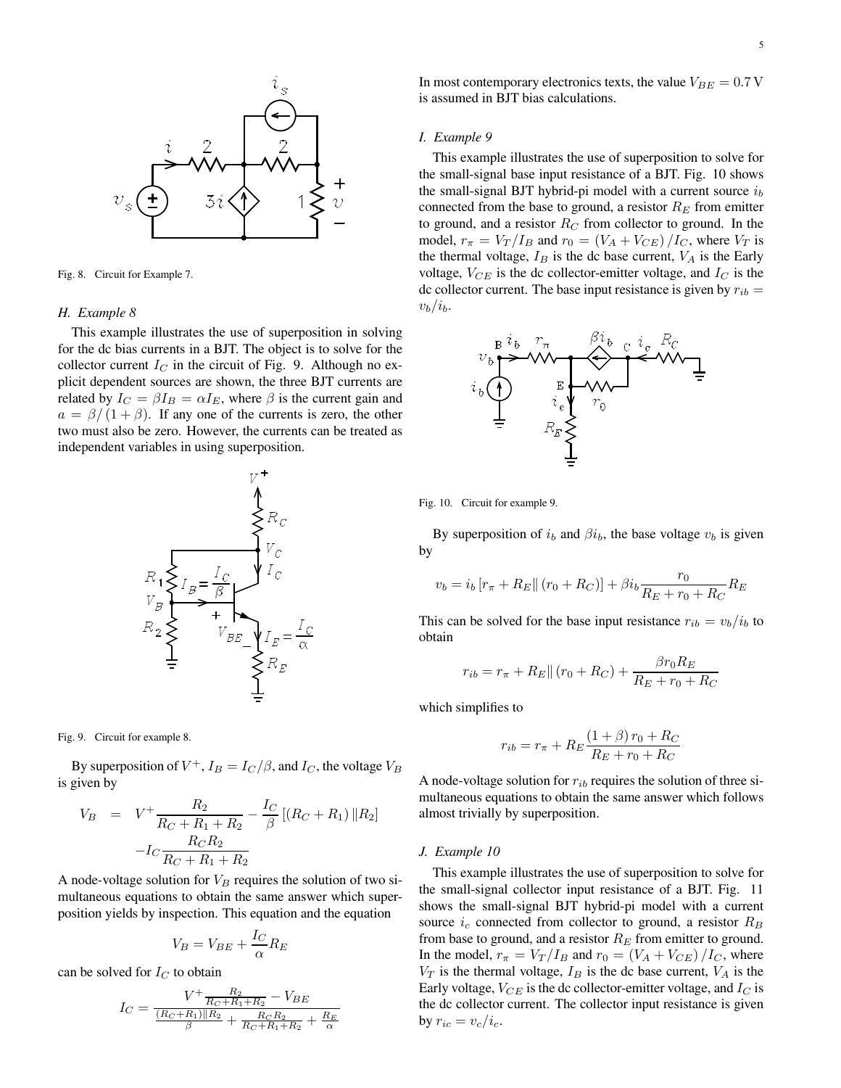

Fig. 8. Circuit for Example 7.

#### *H. Example 8*

This example illustrates the use of superposition in solving for the dc bias currents in a BJT. The object is to solve for the collector current  $I_C$  in the circuit of Fig. 9. Although no explicit dependent sources are shown, the three BJT currents are related by  $I_C = \beta I_B = \alpha I_E$ , where  $\beta$  is the current gain and  $a = \frac{\beta}{1 + \beta}$ . If any one of the currents is zero, the other two must also be zero. However, the currents can be treated as independent variables in using superposition.



Fig. 9. Circuit for example 8.

By superposition of  $V^+$ ,  $I_B = I_C/\beta$ , and  $I_C$ , the voltage  $V_B$ is given by

$$
V_B = V^+ \frac{R_2}{R_C + R_1 + R_2} - \frac{I_C}{\beta} [(R_C + R_1) \| R_2]
$$

$$
-I_C \frac{R_C R_2}{R_C + R_1 + R_2}
$$

A node-voltage solution for  $V_B$  requires the solution of two simultaneous equations to obtain the same answer which superposition yields by inspection. This equation and the equation

$$
V_B = V_{BE} + \frac{I_C}{\alpha} R_E
$$

can be solved for  $I_C$  to obtain

$$
I_C = \frac{V^+ \frac{R_2}{R_C + R_1 + R_2} - V_{BE}}{\frac{(R_C + R_1)\|R_2}{\beta} + \frac{R_C R_2}{R_C + R_1 + R_2} + \frac{R_E}{\alpha}}
$$

In most contemporary electronics texts, the value  $V_{BE} = 0.7$  V is assumed in BJT bias calculations.

#### *I. Example 9*

This example illustrates the use of superposition to solve for the small-signal base input resistance of a BJT. Fig. 10 shows the small-signal BJT hybrid-pi model with a current source  $i<sub>b</sub>$ connected from the base to ground, a resistor  $R_E$  from emitter to ground, and a resistor  $R_C$  from collector to ground. In the model,  $r_{\pi} = V_T/I_B$  and  $r_0 = (V_A + V_{CE})/I_C$ , where  $V_T$  is the thermal voltage,  $I_B$  is the dc base current,  $V_A$  is the Early voltage,  $V_{CE}$  is the dc collector-emitter voltage, and  $I_C$  is the dc collector current. The base input resistance is given by  $r_{ib} =$  $v_b/i_b$ .



Fig. 10. Circuit for example 9.

By superposition of  $i_b$  and  $\beta i_b$ , the base voltage  $v_b$  is given by

$$
v_b = i_b [r_{\pi} + R_E || (r_0 + R_C)] + \beta i_b \frac{r_0}{R_E + r_0 + R_C} R_E
$$

This can be solved for the base input resistance  $r_{ib} = v_b/i_b$  to obtain

$$
r_{ib} = r_{\pi} + R_E || (r_0 + R_C) + \frac{\beta r_0 R_E}{R_E + r_0 + R_C}
$$

which simplifies to

$$
r_{ib} = r_{\pi} + R_E \frac{(1+\beta) r_0 + R_C}{R_E + r_0 + R_C}
$$

A node-voltage solution for  $r_{ib}$  requires the solution of three simultaneous equations to obtain the same answer which follows almost trivially by superposition.

#### *J. Example 10*

This example illustrates the use of superposition to solve for the small-signal collector input resistance of a BJT. Fig. 11 shows the small-signal BJT hybrid-pi model with a current source  $i_c$  connected from collector to ground, a resistor  $R_B$ from base to ground, and a resistor  $R_E$  from emitter to ground. In the model,  $r_{\pi} = V_T/I_B$  and  $r_0 = (V_A + V_{CE})/I_C$ , where  $V_T$  is the thermal voltage,  $I_B$  is the dc base current,  $V_A$  is the Early voltage,  $V_{CE}$  is the dc collector-emitter voltage, and  $I_C$  is the dc collector current. The collector input resistance is given by  $r_{ic} = v_c/i_c$ .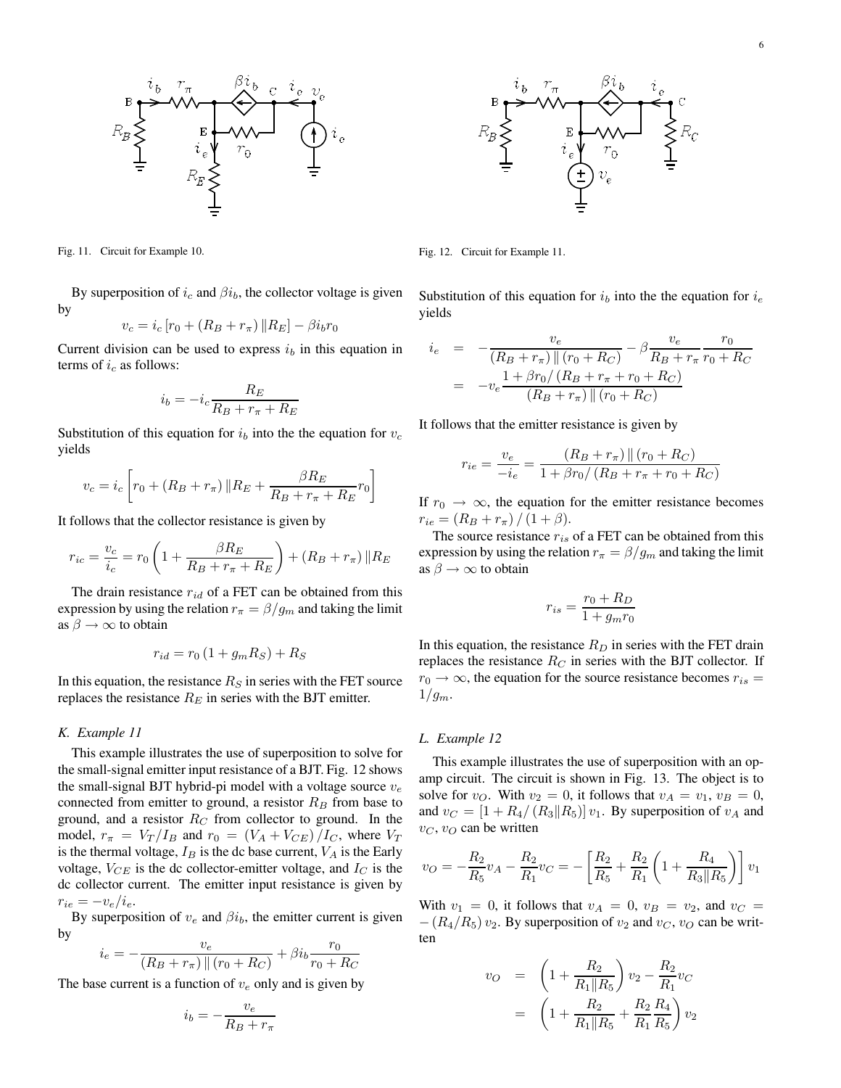



Fig. 11. Circuit for Example 10.

By superposition of  $i_c$  and  $\beta i_b$ , the collector voltage is given by

$$
v_c = i_c [r_0 + (R_B + r_\pi) || R_E] - \beta i_b r_0
$$

Current division can be used to express  $i<sub>b</sub>$  in this equation in terms of  $i_c$  as follows:

$$
i_b = -i_c \frac{R_E}{R_B + r_\pi + R_E}
$$

Substitution of this equation for  $i<sub>b</sub>$  into the the equation for  $v<sub>c</sub>$ yields

$$
v_c = i_c \left[ r_0 + (R_B + r_\pi) \| R_E + \frac{\beta R_E}{R_B + r_\pi + R_E} r_0 \right]
$$

It follows that the collector resistance is given by

$$
r_{ic} = \frac{v_c}{i_c} = r_0 \left( 1 + \frac{\beta R_E}{R_B + r_\pi + R_E} \right) + (R_B + r_\pi) \| R_E
$$

The drain resistance  $r_{id}$  of a FET can be obtained from this expression by using the relation  $r_{\pi} = \beta/g_m$  and taking the limit as  $\beta \rightarrow \infty$  to obtain

$$
r_{id} = r_0 \left( 1 + g_m R_S \right) + R_S
$$

In this equation, the resistance  $R<sub>S</sub>$  in series with the FET source replaces the resistance  $R_E$  in series with the BJT emitter.

#### *K. Example 11*

This example illustrates the use of superposition to solve for the small-signal emitter input resistance of a BJT. Fig. 12 shows the small-signal BJT hybrid-pi model with a voltage source  $v_e$ connected from emitter to ground, a resistor  $R_B$  from base to ground, and a resistor  $R_C$  from collector to ground. In the model,  $r_{\pi} = V_T/I_B$  and  $r_0 = (V_A + V_{CE})/I_C$ , where  $V_T$ is the thermal voltage,  $I_B$  is the dc base current,  $V_A$  is the Early voltage,  $V_{CE}$  is the dc collector-emitter voltage, and  $I_C$  is the dc collector current. The emitter input resistance is given by  $r_{ie} = -v_e/i_e.$ 

By superposition of  $v_e$  and  $\beta i_b$ , the emitter current is given by

$$
i_e = -\frac{v_e}{(R_B + r_{\pi}) \left\| (r_0 + R_C) \right\| + \beta i_b \frac{r_0}{r_0 + R_C}
$$

The base current is a function of  $v_e$  only and is given by

$$
i_b = -\frac{v_e}{R_B + r_\pi}
$$

Fig. 12. Circuit for Example 11.

Substitution of this equation for  $i<sub>b</sub>$  into the the equation for  $i<sub>e</sub>$ yields

$$
i_e = -\frac{v_e}{(R_B + r_\pi) || (r_0 + R_C)} - \beta \frac{v_e}{R_B + r_\pi} \frac{r_0}{r_0 + R_C}
$$
  
= 
$$
-v_e \frac{1 + \beta r_0 / (R_B + r_\pi + r_0 + R_C)}{(R_B + r_\pi) || (r_0 + R_C)}
$$

It follows that the emitter resistance is given by

$$
r_{ie} = \frac{v_e}{-i_e} = \frac{(R_B + r_\pi) \parallel (r_0 + R_C)}{1 + \beta r_0 / (R_B + r_\pi + r_0 + R_C)}
$$

If  $r_0 \rightarrow \infty$ , the equation for the emitter resistance becomes  $r_{ie} = (R_B + r_\pi)/(1 + \beta).$ 

The source resistance  $r_{is}$  of a FET can be obtained from this expression by using the relation  $r_{\pi} = \beta/g_m$  and taking the limit as  $\beta \rightarrow \infty$  to obtain

$$
r_{is} = \frac{r_0 + R_D}{1 + g_m r_0}
$$

In this equation, the resistance  $R_D$  in series with the FET drain replaces the resistance  $R_C$  in series with the BJT collector. If  $r_0 \rightarrow \infty$ , the equation for the source resistance becomes  $r_{is}$  =  $1/g_m$ .

#### *L. Example 12*

This example illustrates the use of superposition with an opamp circuit. The circuit is shown in Fig. 13. The object is to solve for  $v_O$ . With  $v_2 = 0$ , it follows that  $v_A = v_1$ ,  $v_B = 0$ , and  $v_C = \left[1 + R_4 / (R_3 || R_5)\right] v_1$ . By superposition of  $v_A$  and  $v_C$ ,  $v_O$  can be written

$$
v_O = -\frac{R_2}{R_5}v_A - \frac{R_2}{R_1}v_C = -\left[\frac{R_2}{R_5} + \frac{R_2}{R_1}\left(1 + \frac{R_4}{R_3||R_5}\right)\right]v_1
$$

With  $v_1 = 0$ , it follows that  $v_A = 0$ ,  $v_B = v_2$ , and  $v_C =$  $-(R_4/R_5)v_2$ . By superposition of  $v_2$  and  $v_C$ ,  $v_O$  can be written

$$
v_O = \left(1 + \frac{R_2}{R_1 || R_5}\right) v_2 - \frac{R_2}{R_1} v_C
$$
  
= 
$$
\left(1 + \frac{R_2}{R_1 || R_5} + \frac{R_2}{R_1} \frac{R_4}{R_5}\right) v_2
$$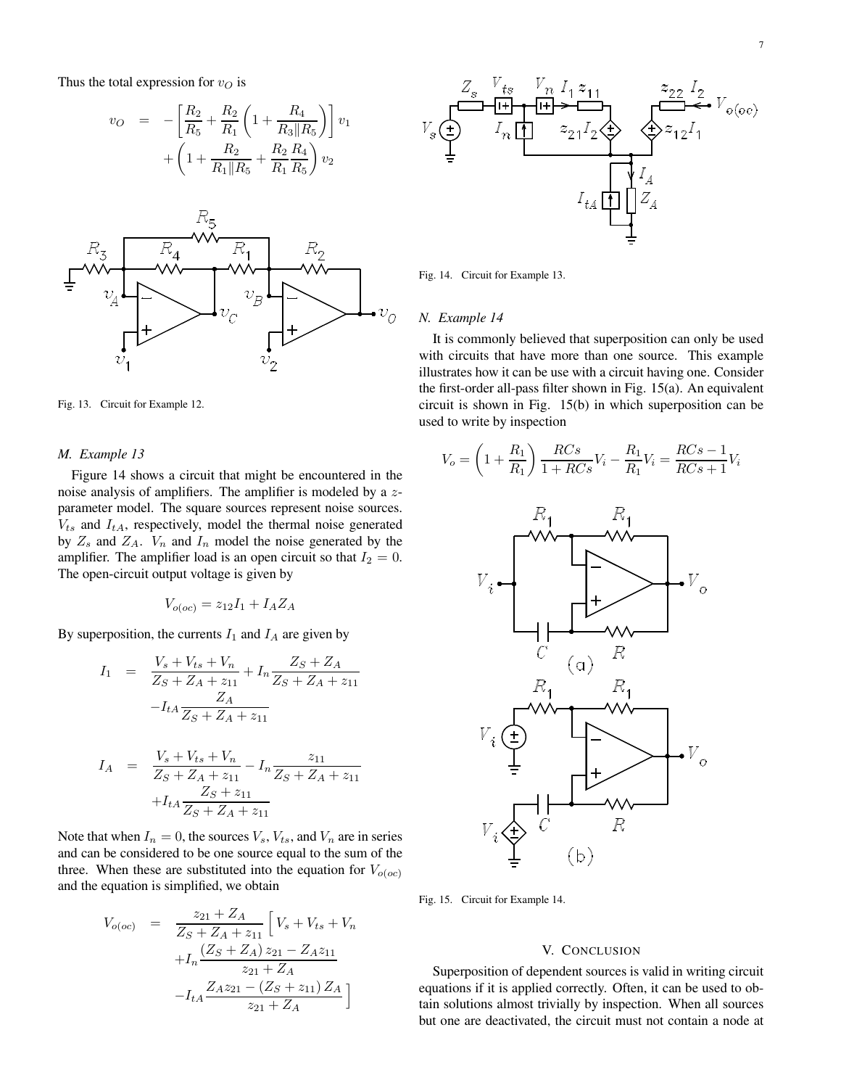Thus the total expression for  $v<sub>O</sub>$  is

$$
v_O = -\left[\frac{R_2}{R_5} + \frac{R_2}{R_1}\left(1 + \frac{R_4}{R_3||R_5}\right)\right]v_1
$$

$$
+ \left(1 + \frac{R_2}{R_1||R_5} + \frac{R_2}{R_1}\frac{R_4}{R_5}\right)v_2
$$



Fig. 13. Circuit for Example 12.

#### *M. Example 13*

Figure 14 shows a circuit that might be encountered in the noise analysis of amplifiers. The amplifier is modeled by a zparameter model. The square sources represent noise sources.  $V_{ts}$  and  $I_{tA}$ , respectively, model the thermal noise generated by  $Z_s$  and  $Z_A$ .  $V_n$  and  $I_n$  model the noise generated by the amplifier. The amplifier load is an open circuit so that  $I_2 = 0$ . The open-circuit output voltage is given by

$$
V_{o(oc)} = z_{12}I_1 + I_A Z_A
$$

By superposition, the currents  $I_1$  and  $I_A$  are given by

$$
I_1 = \frac{V_s + V_{ts} + V_n}{Z_S + Z_A + z_{11}} + I_n \frac{Z_S + Z_A}{Z_S + Z_A + z_{11}}
$$

$$
-I_{tA} \frac{Z_A}{Z_S + Z_A + z_{11}}
$$

$$
I_A = \frac{V_s + V_{ts} + V_n}{Z_S + Z_A + z_{11}} - I_n \frac{z_{11}}{Z_S + Z_A + z_{11}}
$$

$$
+I_{tA} \frac{Z_S + z_{11}}{Z_S + Z_A + z_{11}}
$$

Note that when  $I_n = 0$ , the sources  $V_s$ ,  $V_{ts}$ , and  $V_n$  are in series and can be considered to be one source equal to the sum of the three. When these are substituted into the equation for  $V_{o(oc)}$ and the equation is simplified, we obtain

$$
V_{o(oc)} = \frac{z_{21} + Z_A}{Z_S + Z_A + z_{11}} \left[ V_s + V_{ts} + V_n + I_n \frac{(Z_S + Z_A) z_{21} - Z_A z_{11}}{z_{21} + Z_A} - I_{tA} \frac{Z_A z_{21} - (Z_S + z_{11}) Z_A}{z_{21} + Z_A} \right]
$$



Fig. 14. Circuit for Example 13.

### *N. Example 14*

It is commonly believed that superposition can only be used with circuits that have more than one source. This example illustrates how it can be use with a circuit having one. Consider the first-order all-pass filter shown in Fig. 15(a). An equivalent circuit is shown in Fig. 15(b) in which superposition can be used to write by inspection

$$
V_o = \left(1 + \frac{R_1}{R_1}\right) \frac{RCs}{1 + RCs} V_i - \frac{R_1}{R_1} V_i = \frac{RCs - 1}{RCs + 1} V_i
$$



Fig. 15. Circuit for Example 14.

## V. CONCLUSION

Superposition of dependent sources is valid in writing circuit equations if it is applied correctly. Often, it can be used to obtain solutions almost trivially by inspection. When all sources but one are deactivated, the circuit must not contain a node at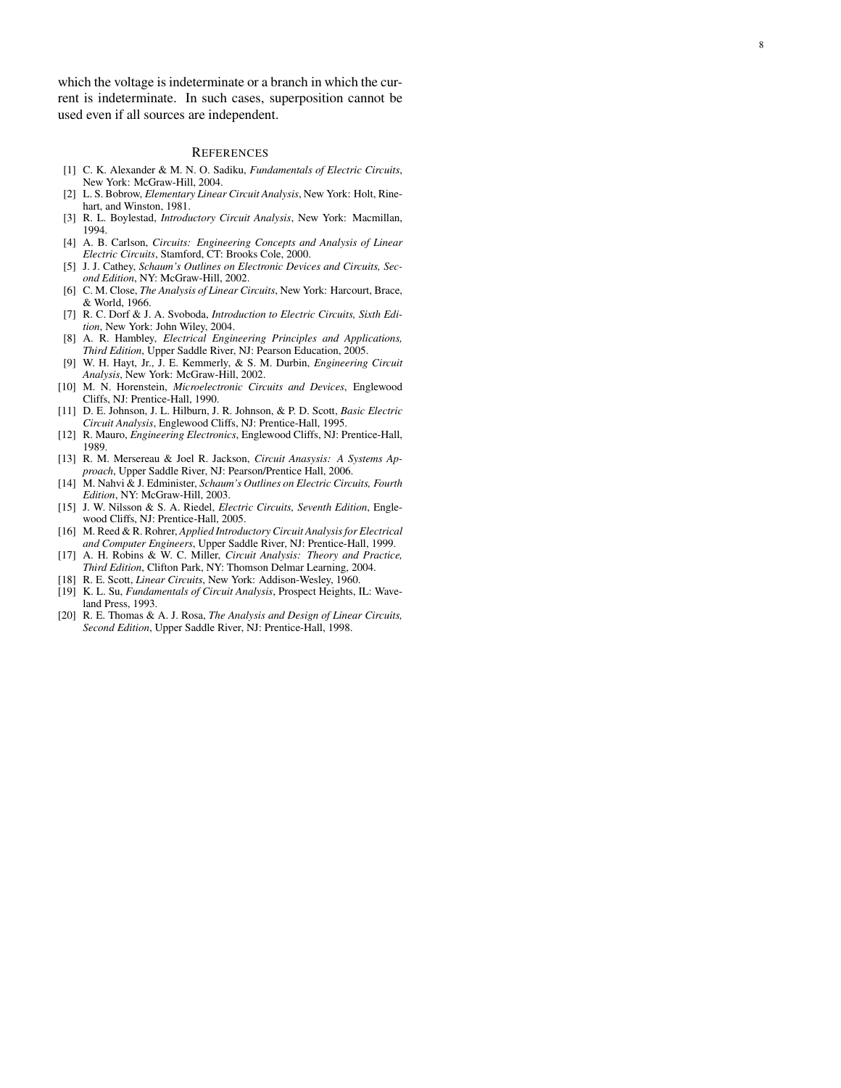which the voltage is indeterminate or a branch in which the current is indeterminate. In such cases, superposition cannot be used even if all sources are independent.

#### **REFERENCES**

- [1] C. K. Alexander & M. N. O. Sadiku, *Fundamentals of Electric Circuits* , New York: McGraw-Hill, 2004.
- [2] L. S. Bobrow, *Elementary Linear Circuit Analysis*, New York: Holt, Rinehart, and Winston, 1981.
- [3] R. L. Boylestad, *Introductory Circuit Analysis*, New York: Macmillan, 1994.
- [4] A. B. Carlson, *Circuits: Engineering Concepts and Analysis of Linear Electric Circuits*, Stamford, CT: Brooks Cole, 2000.
- [5] J. J. Cathey, *Schaum's Outlines on Electronic Devices and Circuits, Second Edition*, NY: McGraw-Hill, 2002.
- [6] C. M. Close, *The Analysis of Linear Circuits*, New York: Harcourt, Brace, & World, 1966.
- [7] R. C. Dorf & J. A. Svoboda, *Introduction to Electric Circuits, Sixth Edition*, New York: John Wiley, 2004.
- [8] A. R. Hambley, *Electrical Engineering Principles and Applications, Third Edition*, Upper Saddle River, NJ: Pearson Education, 2005.
- [9] W. H. Hayt, Jr., J. E. Kemmerly, & S. M. Durbin, *Engineering Circuit Analysis*, New York: McGraw-Hill, 2002.
- [10] M. N. Horenstein, *Microelectronic Circuits and Devices*, Englewood Cliffs, NJ: Prentice-Hall, 1990.
- [11] D. E. Johnson, J. L. Hilburn, J. R. Johnson, & P. D. Scott, *Basic Electric Circuit Analysis*, Englewood Cliffs, NJ: Prentice-Hall, 1995.
- [12] R. Mauro, *Engineering Electronics*, Englewood Cliffs, NJ: Prentice-Hall, 1989.
- [13] R. M. Mersereau & Joel R. Jackson, *Circuit Anasysis: A Systems Approach*, Upper Saddle River, NJ: Pearson/Prentice Hall, 2006.
- [14] M. Nahvi & J. Edminister, *Schaum's Outlines on Electric Circuits, Fourth Edition*, NY: McGraw-Hill, 2003.
- [15] J. W. Nilsson & S. A. Riedel, *Electric Circuits, Seventh Edition*, Englewood Cliffs, NJ: Prentice-Hall, 2005.
- [16] M. Reed & R. Rohrer, *Applied Introductory Circuit Analysis for Electrical and Computer Engineers*, Upper Saddle River, NJ: Prentice-Hall, 1999.
- [17] A. H. Robins & W. C. Miller, *Circuit Analysis: Theory and Practice, Third Edition*, Clifton Park, NY: Thomson Delmar Learning, 2004.
- [18] R. E. Scott, *Linear Circuits*, New York: Addison-Wesley, 1960.
- [19] K. L. Su, *Fundamentals of Circuit Analysis*, Prospect Heights, IL: Waveland Press, 1993.
- [20] R. E. Thomas & A. J. Rosa, *The Analysis and Design of Linear Circuits, Second Edition*, Upper Saddle River, NJ: Prentice-Hall, 1998.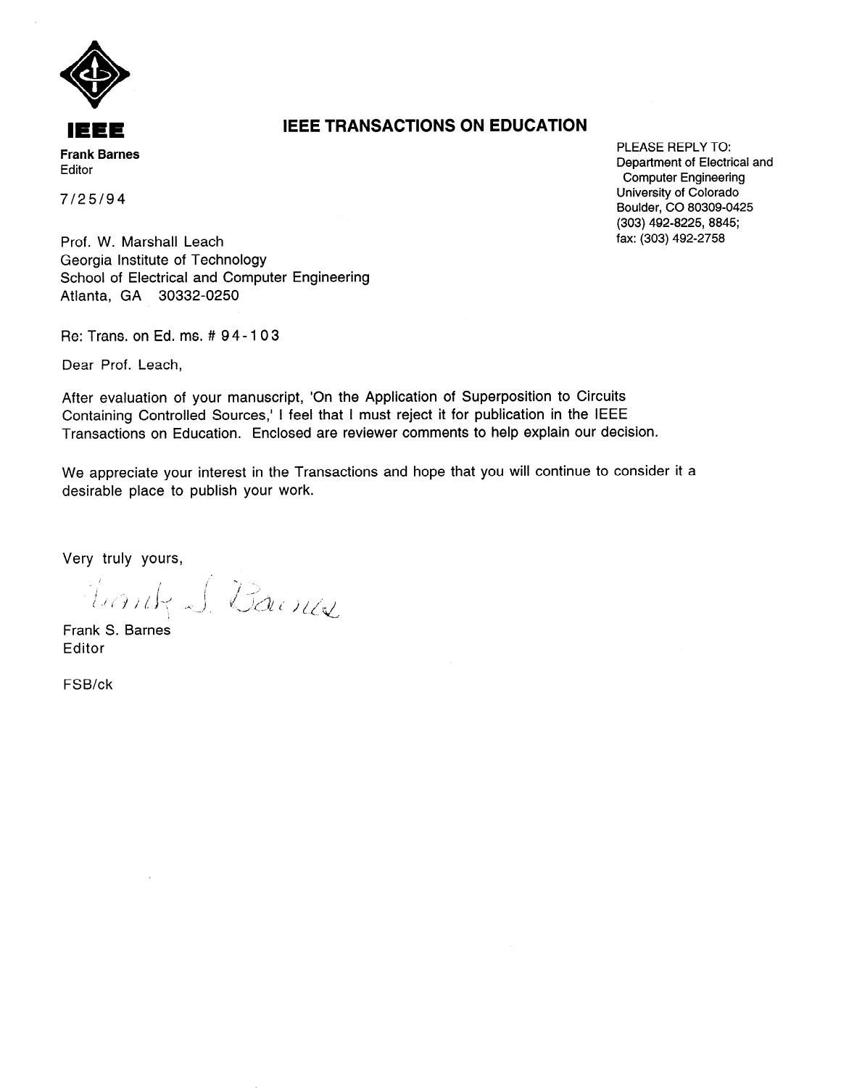

**IEEE TRANSACTIONS ON EDUCATION** 

PLEASE REPLY TO: Department of Electrical and **Computer Engineering** University of Colorado Boulder, CO 80309-0425 (303) 492-8225, 8845; fax: (303) 492-2758

 $7/25/94$ 

Prof. W. Marshall Leach Georgia Institute of Technology School of Electrical and Computer Engineering Atlanta, GA 30332-0250

Re: Trans. on Ed. ms. # 94-103

Dear Prof. Leach,

After evaluation of your manuscript, 'On the Application of Superposition to Circuits Containing Controlled Sources,' I feel that I must reject it for publication in the IEEE Transactions on Education. Enclosed are reviewer comments to help explain our decision.

We appreciate your interest in the Transactions and hope that you will continue to consider it a desirable place to publish your work.

Very truly yours,

Juanty J. Barnes

Frank S. Barnes Editor

FSB/ck